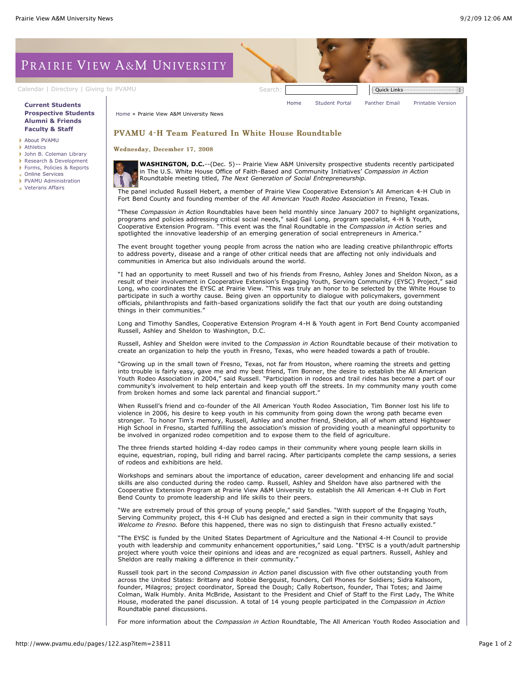